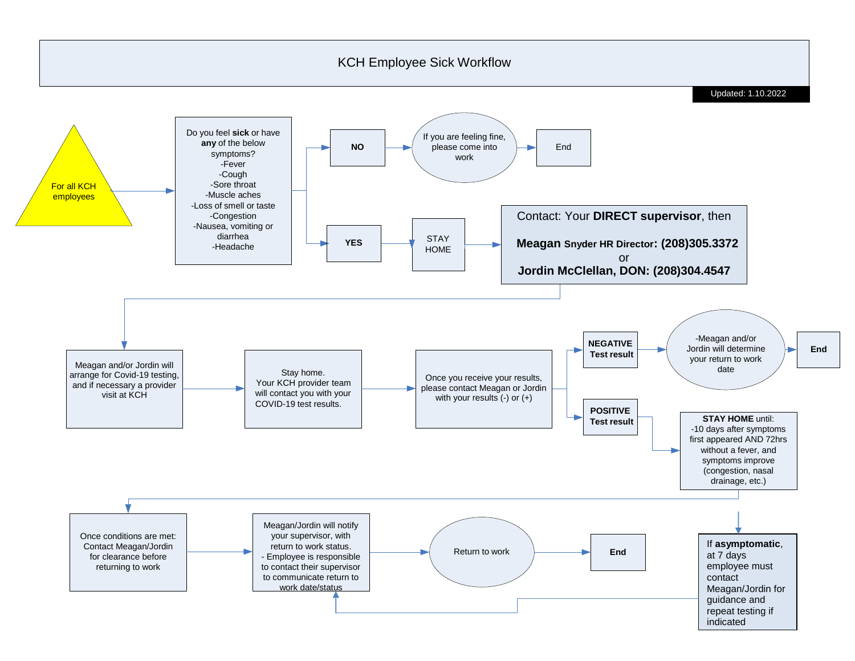